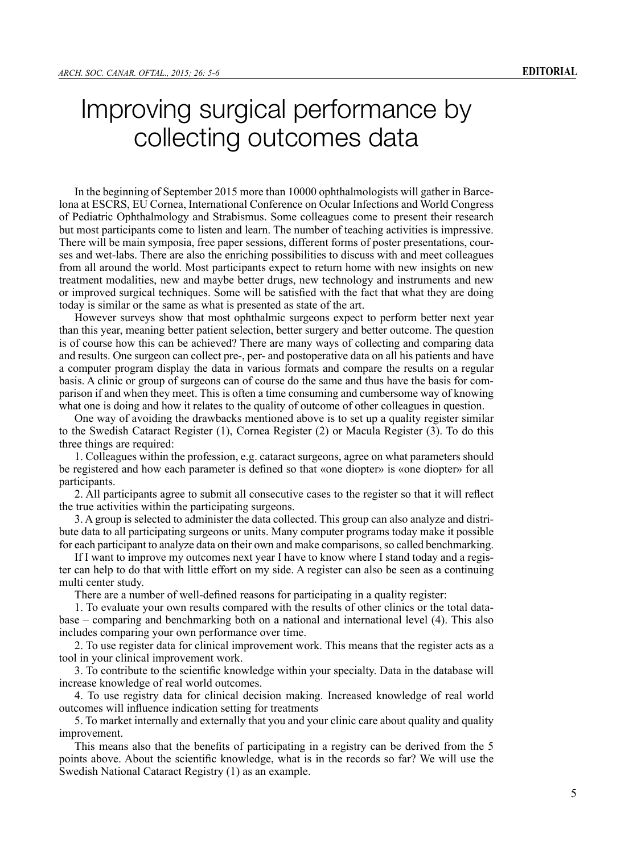## Improving surgical performance by collecting outcomes data

In the beginning of September 2015 more than 10000 ophthalmologists will gather in Barcelona at ESCRS, EU Cornea, International Conference on Ocular Infections and World Congress of Pediatric Ophthalmology and Strabismus. Some colleagues come to present their research but most participants come to listen and learn. The number of teaching activities is impressive. There will be main symposia, free paper sessions, different forms of poster presentations, courses and wet-labs. There are also the enriching possibilities to discuss with and meet colleagues from all around the world. Most participants expect to return home with new insights on new treatment modalities, new and maybe better drugs, new technology and instruments and new or improved surgical techniques. Some will be satisfied with the fact that what they are doing today is similar or the same as what is presented as state of the art.

However surveys show that most ophthalmic surgeons expect to perform better next year than this year, meaning better patient selection, better surgery and better outcome. The question is of course how this can be achieved? There are many ways of collecting and comparing data and results. One surgeon can collect pre-, per- and postoperative data on all his patients and have a computer program display the data in various formats and compare the results on a regular basis. A clinic or group of surgeons can of course do the same and thus have the basis for comparison if and when they meet. This is often a time consuming and cumbersome way of knowing what one is doing and how it relates to the quality of outcome of other colleagues in question.

One way of avoiding the drawbacks mentioned above is to set up a quality register similar to the Swedish Cataract Register (1), Cornea Register (2) or Macula Register (3). To do this three things are required:

1. Colleagues within the profession, e.g. cataract surgeons, agree on what parameters should be registered and how each parameter is defined so that «one diopter» is «one diopter» for all participants.

2. All participants agree to submit all consecutive cases to the register so that it will reflect the true activities within the participating surgeons.

3. A group is selected to administer the data collected. This group can also analyze and distribute data to all participating surgeons or units. Many computer programs today make it possible for each participant to analyze data on their own and make comparisons, so called benchmarking.

If I want to improve my outcomes next year I have to know where I stand today and a register can help to do that with little effort on my side. A register can also be seen as a continuing multi center study.

There are a number of well-defined reasons for participating in a quality register:

1. To evaluate your own results compared with the results of other clinics or the total database – comparing and benchmarking both on a national and international level (4). This also includes comparing your own performance over time.

2. To use register data for clinical improvement work. This means that the register acts as a tool in your clinical improvement work.

3. To contribute to the scientific knowledge within your specialty. Data in the database will increase knowledge of real world outcomes.

4. To use registry data for clinical decision making. Increased knowledge of real world outcomes will influence indication setting for treatments

5. To market internally and externally that you and your clinic care about quality and quality improvement.

This means also that the benefits of participating in a registry can be derived from the 5 points above. About the scientific knowledge, what is in the records so far? We will use the Swedish National Cataract Registry (1) as an example.